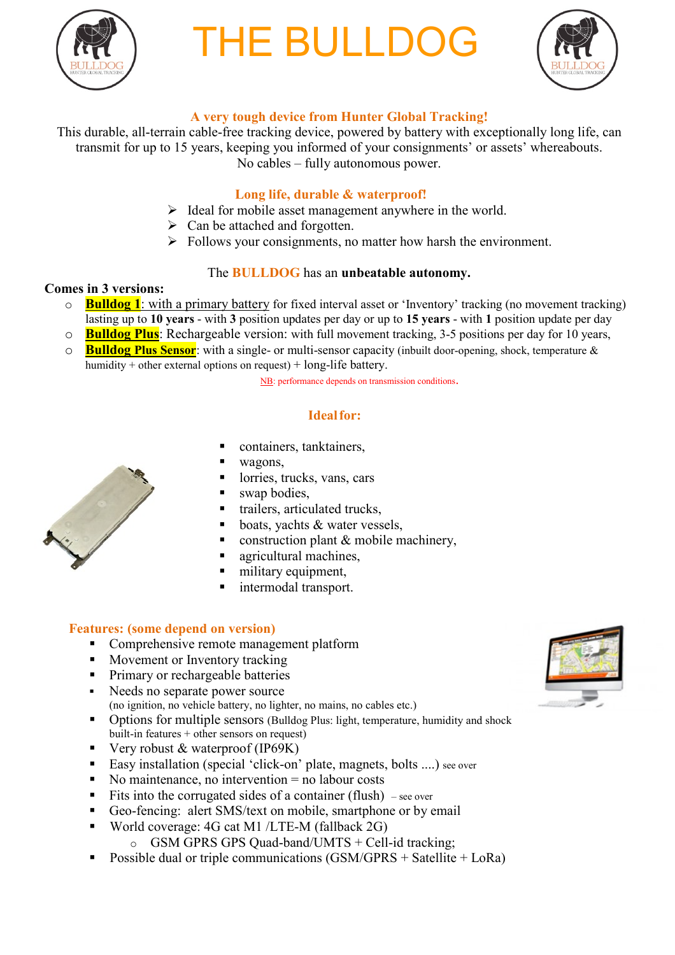

# **THE BULLDO**



## **A very tough device from Hunter Global Tracking!**

This durable, all-terrain cable-free tracking device, powered by battery with exceptionally long life, can transmit for up to 15 years, keeping you informed of your consignments' or assets' whereabouts. No cables – fully autonomous power.

#### **Long life, durable & waterproof!**

- $\triangleright$  Ideal for mobile asset management anywhere in the world.
- $\triangleright$  Can be attached and forgotten.
- $\triangleright$  Follows your consignments, no matter how harsh the environment.

#### The **BULLDOG** has an **unbeatable autonomy.**

#### **Comes in 3 versions:**

- o **Bulldog 1**: with a primary battery for fixed interval asset or 'Inventory' tracking (no movement tracking) lasting up to **10 years** - with **3** position updates per day or up to **15 years** - with **1** position update per day
- o **Bulldog Plus**: Rechargeable version: with full movement tracking, 3-5 positions per day for 10 years,
- o **Bulldog Plus Sensor**: with a single- or multi-sensor capacity (inbuilt door-opening, shock, temperature & humidity + other external options on request) + long-life battery.

NB: performance depends on transmission conditions.

### **Idealfor:**

- containers, tanktainers,
- wagons,
- lorries, trucks, vans, cars
- swap bodies,
- trailers, articulated trucks,
- boats, yachts & water vessels,
- construction plant  $&$  mobile machinery,
- agricultural machines,
- military equipment,
- intermodal transport.

#### **Features: (some depend on version)**

- Comprehensive remote management platform
- Movement or Inventory tracking
- **Primary or rechargeable batteries**
- Needs no separate power source (no ignition, no vehicle battery, no lighter, no mains, no cables etc.)
- Options for multiple sensors (Bulldog Plus: light, temperature, humidity and shock built-in features + other sensors on request)
- Very robust  $&$  waterproof (IP69K)
- Easy installation (special 'click-on' plate, magnets, bolts ....) see over
- $\blacksquare$  No maintenance, no intervention  $=$  no labour costs
- Fits into the corrugated sides of a container (flush) see over
- Geo-fencing: alert SMS/text on mobile, smartphone or by email
- World coverage: 4G cat M1 /LTE-M (fallback 2G)
	- $\circ$  GSM GPRS GPS Quad-band/UMTS + Cell-id tracking;
- Possible dual or triple communications (GSM/GPRS + Satellite + LoRa)